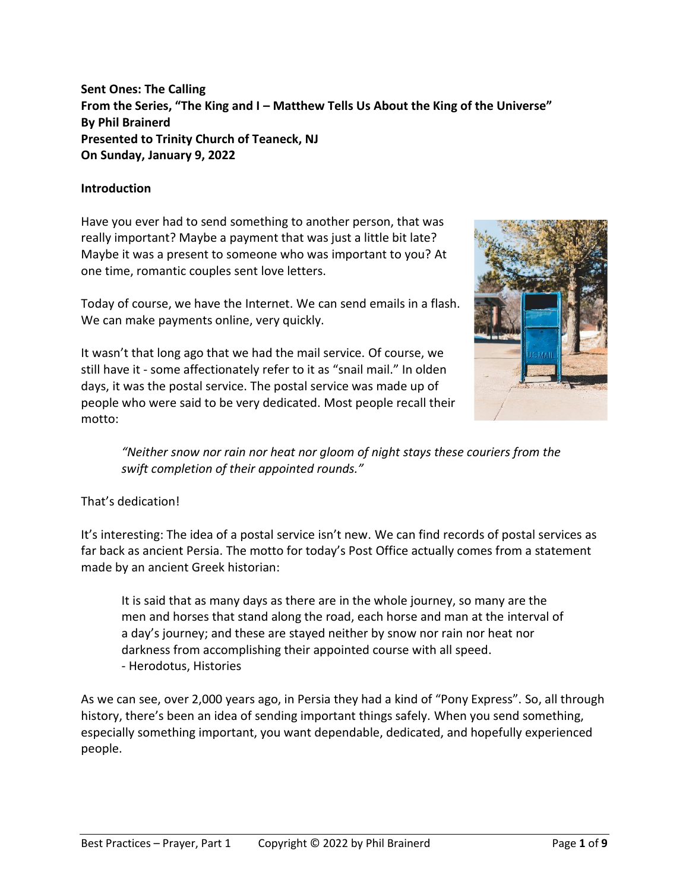**Sent Ones: The Calling From the Series, "The King and I – Matthew Tells Us About the King of the Universe" By Phil Brainerd Presented to Trinity Church of Teaneck, NJ On Sunday, January 9, 2022**

### **Introduction**

Have you ever had to send something to another person, that was really important? Maybe a payment that was just a little bit late? Maybe it was a present to someone who was important to you? At one time, romantic couples sent love letters.

Today of course, we have the Internet. We can send emails in a flash. We can make payments online, very quickly.

It wasn't that long ago that we had the mail service. Of course, we still have it - some affectionately refer to it as "snail mail." In olden days, it was the postal service. The postal service was made up of people who were said to be very dedicated. Most people recall their motto:



*"Neither snow nor rain nor heat nor gloom of night stays these couriers from the swift completion of their appointed rounds."*

That's dedication!

It's interesting: The idea of a postal service isn't new. We can find records of postal services as far back as ancient Persia. The motto for today's Post Office actually comes from a statement made by an ancient Greek historian:

It is said that as many days as there are in the whole journey, so many are the men and horses that stand along the road, each horse and man at the interval of a day's journey; and these are stayed neither by snow nor rain nor heat nor darkness from accomplishing their appointed course with all speed. - Herodotus, Histories

As we can see, over 2,000 years ago, in Persia they had a kind of "Pony Express". So, all through history, there's been an idea of sending important things safely. When you send something, especially something important, you want dependable, dedicated, and hopefully experienced people.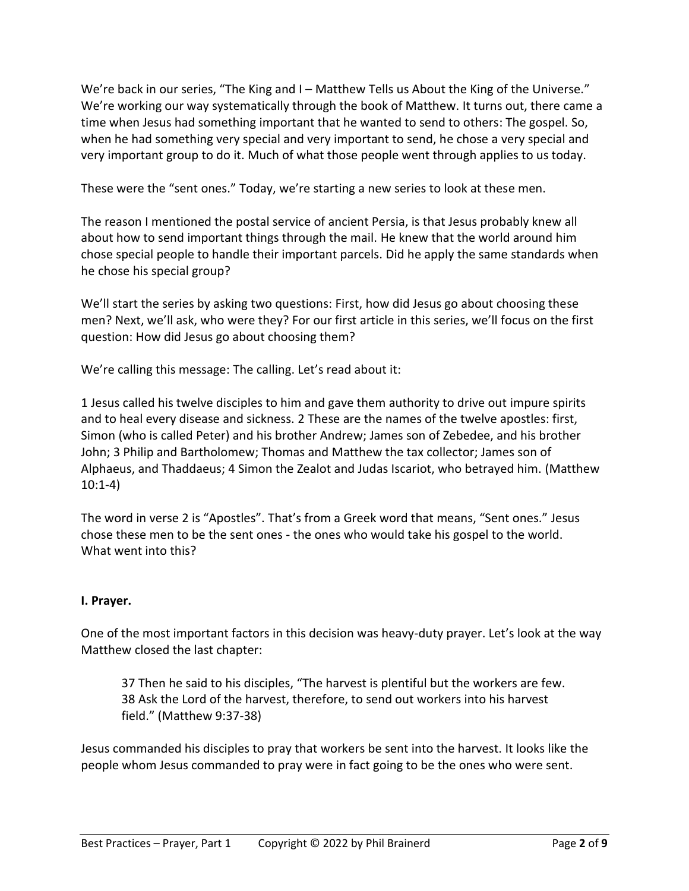We're back in our series, "The King and I – Matthew Tells us About the King of the Universe." We're working our way systematically through the book of Matthew. It turns out, there came a time when Jesus had something important that he wanted to send to others: The gospel. So, when he had something very special and very important to send, he chose a very special and very important group to do it. Much of what those people went through applies to us today.

These were the "sent ones." Today, we're starting a new series to look at these men.

The reason I mentioned the postal service of ancient Persia, is that Jesus probably knew all about how to send important things through the mail. He knew that the world around him chose special people to handle their important parcels. Did he apply the same standards when he chose his special group?

We'll start the series by asking two questions: First, how did Jesus go about choosing these men? Next, we'll ask, who were they? For our first article in this series, we'll focus on the first question: How did Jesus go about choosing them?

We're calling this message: The calling. Let's read about it:

1 Jesus called his twelve disciples to him and gave them authority to drive out impure spirits and to heal every disease and sickness. 2 These are the names of the twelve apostles: first, Simon (who is called Peter) and his brother Andrew; James son of Zebedee, and his brother John; 3 Philip and Bartholomew; Thomas and Matthew the tax collector; James son of Alphaeus, and Thaddaeus; 4 Simon the Zealot and Judas Iscariot, who betrayed him. (Matthew 10:1-4)

The word in verse 2 is "Apostles". That's from a Greek word that means, "Sent ones." Jesus chose these men to be the sent ones - the ones who would take his gospel to the world. What went into this?

## **I. Prayer.**

One of the most important factors in this decision was heavy-duty prayer. Let's look at the way Matthew closed the last chapter:

37 Then he said to his disciples, "The harvest is plentiful but the workers are few. 38 Ask the Lord of the harvest, therefore, to send out workers into his harvest field." (Matthew 9:37-38)

Jesus commanded his disciples to pray that workers be sent into the harvest. It looks like the people whom Jesus commanded to pray were in fact going to be the ones who were sent.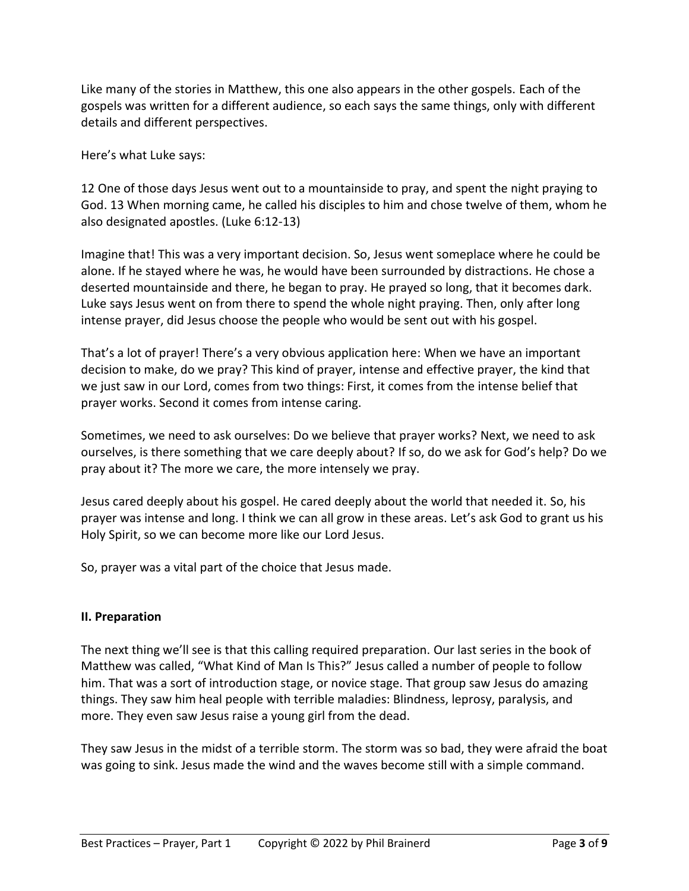Like many of the stories in Matthew, this one also appears in the other gospels. Each of the gospels was written for a different audience, so each says the same things, only with different details and different perspectives.

Here's what Luke says:

12 One of those days Jesus went out to a mountainside to pray, and spent the night praying to God. 13 When morning came, he called his disciples to him and chose twelve of them, whom he also designated apostles. (Luke 6:12-13)

Imagine that! This was a very important decision. So, Jesus went someplace where he could be alone. If he stayed where he was, he would have been surrounded by distractions. He chose a deserted mountainside and there, he began to pray. He prayed so long, that it becomes dark. Luke says Jesus went on from there to spend the whole night praying. Then, only after long intense prayer, did Jesus choose the people who would be sent out with his gospel.

That's a lot of prayer! There's a very obvious application here: When we have an important decision to make, do we pray? This kind of prayer, intense and effective prayer, the kind that we just saw in our Lord, comes from two things: First, it comes from the intense belief that prayer works. Second it comes from intense caring.

Sometimes, we need to ask ourselves: Do we believe that prayer works? Next, we need to ask ourselves, is there something that we care deeply about? If so, do we ask for God's help? Do we pray about it? The more we care, the more intensely we pray.

Jesus cared deeply about his gospel. He cared deeply about the world that needed it. So, his prayer was intense and long. I think we can all grow in these areas. Let's ask God to grant us his Holy Spirit, so we can become more like our Lord Jesus.

So, prayer was a vital part of the choice that Jesus made.

## **II. Preparation**

The next thing we'll see is that this calling required preparation. Our last series in the book of Matthew was called, "What Kind of Man Is This?" Jesus called a number of people to follow him. That was a sort of introduction stage, or novice stage. That group saw Jesus do amazing things. They saw him heal people with terrible maladies: Blindness, leprosy, paralysis, and more. They even saw Jesus raise a young girl from the dead.

They saw Jesus in the midst of a terrible storm. The storm was so bad, they were afraid the boat was going to sink. Jesus made the wind and the waves become still with a simple command.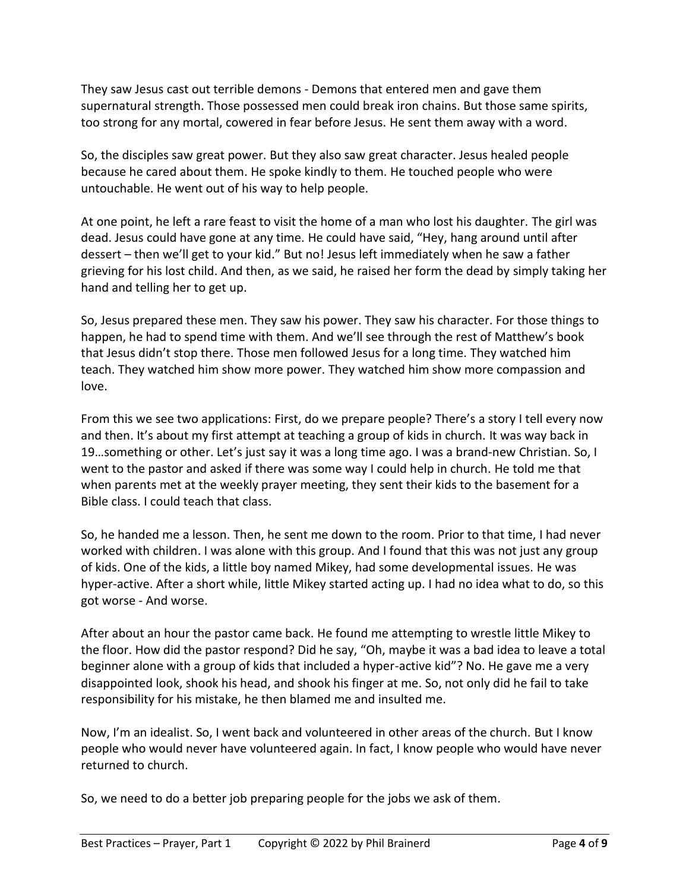They saw Jesus cast out terrible demons - Demons that entered men and gave them supernatural strength. Those possessed men could break iron chains. But those same spirits, too strong for any mortal, cowered in fear before Jesus. He sent them away with a word.

So, the disciples saw great power. But they also saw great character. Jesus healed people because he cared about them. He spoke kindly to them. He touched people who were untouchable. He went out of his way to help people.

At one point, he left a rare feast to visit the home of a man who lost his daughter. The girl was dead. Jesus could have gone at any time. He could have said, "Hey, hang around until after dessert – then we'll get to your kid." But no! Jesus left immediately when he saw a father grieving for his lost child. And then, as we said, he raised her form the dead by simply taking her hand and telling her to get up.

So, Jesus prepared these men. They saw his power. They saw his character. For those things to happen, he had to spend time with them. And we'll see through the rest of Matthew's book that Jesus didn't stop there. Those men followed Jesus for a long time. They watched him teach. They watched him show more power. They watched him show more compassion and love.

From this we see two applications: First, do we prepare people? There's a story I tell every now and then. It's about my first attempt at teaching a group of kids in church. It was way back in 19…something or other. Let's just say it was a long time ago. I was a brand-new Christian. So, I went to the pastor and asked if there was some way I could help in church. He told me that when parents met at the weekly prayer meeting, they sent their kids to the basement for a Bible class. I could teach that class.

So, he handed me a lesson. Then, he sent me down to the room. Prior to that time, I had never worked with children. I was alone with this group. And I found that this was not just any group of kids. One of the kids, a little boy named Mikey, had some developmental issues. He was hyper-active. After a short while, little Mikey started acting up. I had no idea what to do, so this got worse - And worse.

After about an hour the pastor came back. He found me attempting to wrestle little Mikey to the floor. How did the pastor respond? Did he say, "Oh, maybe it was a bad idea to leave a total beginner alone with a group of kids that included a hyper-active kid"? No. He gave me a very disappointed look, shook his head, and shook his finger at me. So, not only did he fail to take responsibility for his mistake, he then blamed me and insulted me.

Now, I'm an idealist. So, I went back and volunteered in other areas of the church. But I know people who would never have volunteered again. In fact, I know people who would have never returned to church.

So, we need to do a better job preparing people for the jobs we ask of them.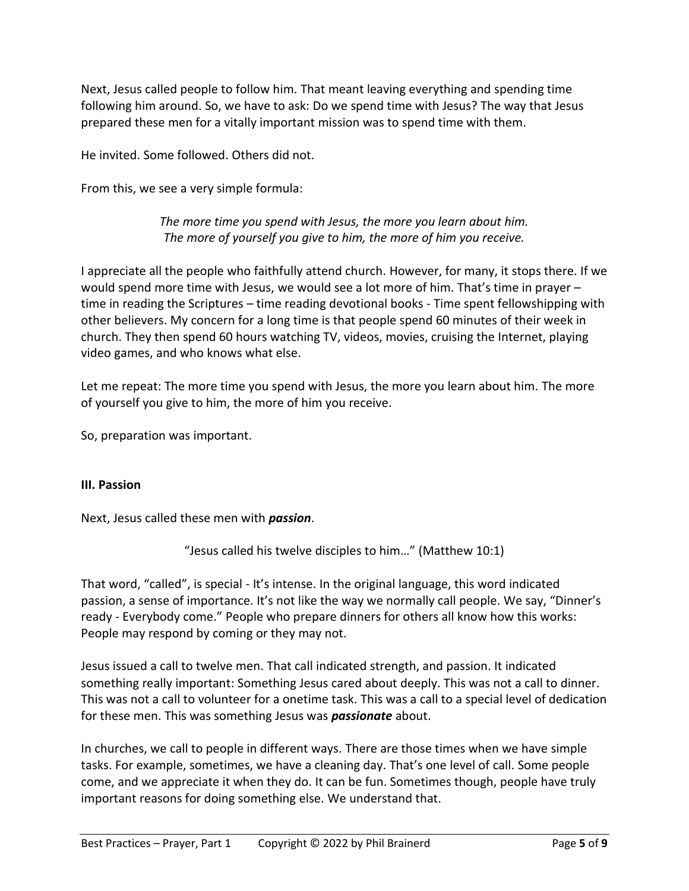Next, Jesus called people to follow him. That meant leaving everything and spending time following him around. So, we have to ask: Do we spend time with Jesus? The way that Jesus prepared these men for a vitally important mission was to spend time with them.

He invited. Some followed. Others did not.

From this, we see a very simple formula:

*The more time you spend with Jesus, the more you learn about him. The more of yourself you give to him, the more of him you receive.*

I appreciate all the people who faithfully attend church. However, for many, it stops there. If we would spend more time with Jesus, we would see a lot more of him. That's time in prayer – time in reading the Scriptures – time reading devotional books - Time spent fellowshipping with other believers. My concern for a long time is that people spend 60 minutes of their week in church. They then spend 60 hours watching TV, videos, movies, cruising the Internet, playing video games, and who knows what else.

Let me repeat: The more time you spend with Jesus, the more you learn about him. The more of yourself you give to him, the more of him you receive.

So, preparation was important.

## **III. Passion**

Next, Jesus called these men with *passion*.

"Jesus called his twelve disciples to him…" (Matthew 10:1)

That word, "called", is special - It's intense. In the original language, this word indicated passion, a sense of importance. It's not like the way we normally call people. We say, "Dinner's ready - Everybody come." People who prepare dinners for others all know how this works: People may respond by coming or they may not.

Jesus issued a call to twelve men. That call indicated strength, and passion. It indicated something really important: Something Jesus cared about deeply. This was not a call to dinner. This was not a call to volunteer for a onetime task. This was a call to a special level of dedication for these men. This was something Jesus was *passionate* about.

In churches, we call to people in different ways. There are those times when we have simple tasks. For example, sometimes, we have a cleaning day. That's one level of call. Some people come, and we appreciate it when they do. It can be fun. Sometimes though, people have truly important reasons for doing something else. We understand that.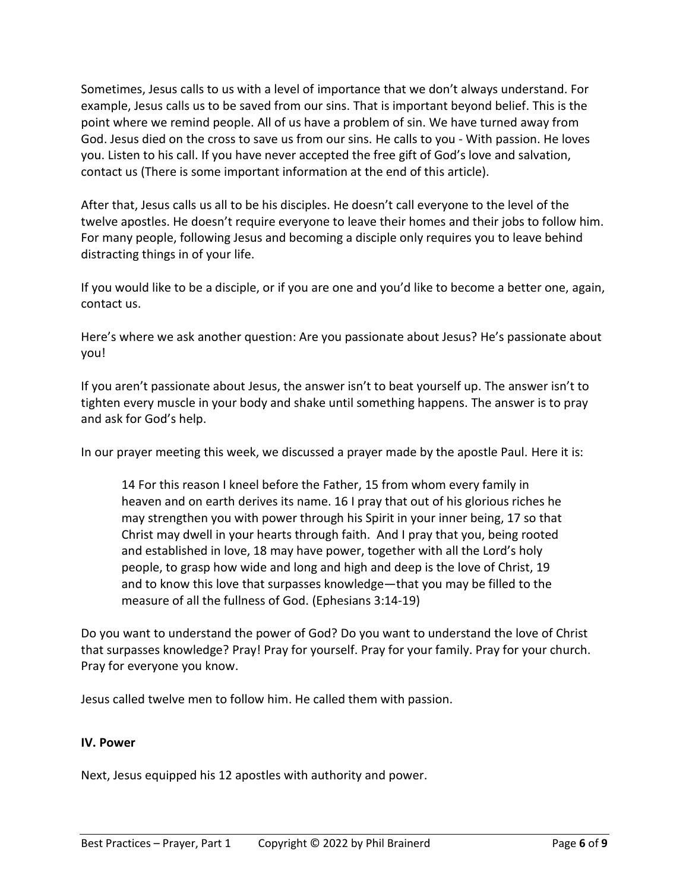Sometimes, Jesus calls to us with a level of importance that we don't always understand. For example, Jesus calls us to be saved from our sins. That is important beyond belief. This is the point where we remind people. All of us have a problem of sin. We have turned away from God. Jesus died on the cross to save us from our sins. He calls to you - With passion. He loves you. Listen to his call. If you have never accepted the free gift of God's love and salvation, contact us (There is some important information at the end of this article).

After that, Jesus calls us all to be his disciples. He doesn't call everyone to the level of the twelve apostles. He doesn't require everyone to leave their homes and their jobs to follow him. For many people, following Jesus and becoming a disciple only requires you to leave behind distracting things in of your life.

If you would like to be a disciple, or if you are one and you'd like to become a better one, again, contact us.

Here's where we ask another question: Are you passionate about Jesus? He's passionate about you!

If you aren't passionate about Jesus, the answer isn't to beat yourself up. The answer isn't to tighten every muscle in your body and shake until something happens. The answer is to pray and ask for God's help.

In our prayer meeting this week, we discussed a prayer made by the apostle Paul. Here it is:

14 For this reason I kneel before the Father, 15 from whom every family in heaven and on earth derives its name. 16 I pray that out of his glorious riches he may strengthen you with power through his Spirit in your inner being, 17 so that Christ may dwell in your hearts through faith. And I pray that you, being rooted and established in love, 18 may have power, together with all the Lord's holy people, to grasp how wide and long and high and deep is the love of Christ, 19 and to know this love that surpasses knowledge—that you may be filled to the measure of all the fullness of God. (Ephesians 3:14-19)

Do you want to understand the power of God? Do you want to understand the love of Christ that surpasses knowledge? Pray! Pray for yourself. Pray for your family. Pray for your church. Pray for everyone you know.

Jesus called twelve men to follow him. He called them with passion.

### **IV. Power**

Next, Jesus equipped his 12 apostles with authority and power.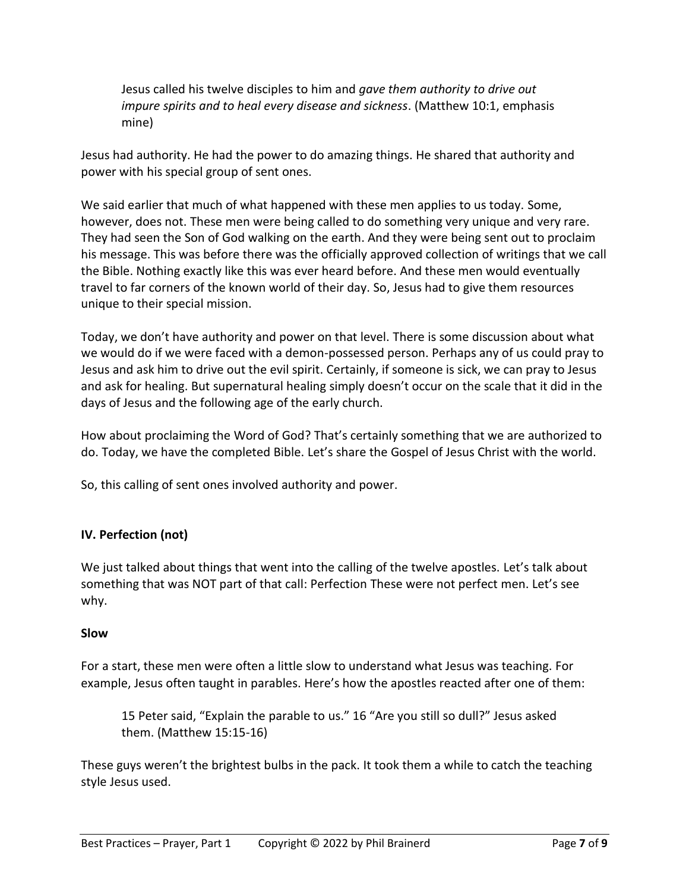Jesus called his twelve disciples to him and *gave them authority to drive out impure spirits and to heal every disease and sickness*. (Matthew 10:1, emphasis mine)

Jesus had authority. He had the power to do amazing things. He shared that authority and power with his special group of sent ones.

We said earlier that much of what happened with these men applies to us today. Some, however, does not. These men were being called to do something very unique and very rare. They had seen the Son of God walking on the earth. And they were being sent out to proclaim his message. This was before there was the officially approved collection of writings that we call the Bible. Nothing exactly like this was ever heard before. And these men would eventually travel to far corners of the known world of their day. So, Jesus had to give them resources unique to their special mission.

Today, we don't have authority and power on that level. There is some discussion about what we would do if we were faced with a demon-possessed person. Perhaps any of us could pray to Jesus and ask him to drive out the evil spirit. Certainly, if someone is sick, we can pray to Jesus and ask for healing. But supernatural healing simply doesn't occur on the scale that it did in the days of Jesus and the following age of the early church.

How about proclaiming the Word of God? That's certainly something that we are authorized to do. Today, we have the completed Bible. Let's share the Gospel of Jesus Christ with the world.

So, this calling of sent ones involved authority and power.

# **IV. Perfection (not)**

We just talked about things that went into the calling of the twelve apostles. Let's talk about something that was NOT part of that call: Perfection These were not perfect men. Let's see why.

## **Slow**

For a start, these men were often a little slow to understand what Jesus was teaching. For example, Jesus often taught in parables. Here's how the apostles reacted after one of them:

15 Peter said, "Explain the parable to us." 16 "Are you still so dull?" Jesus asked them. (Matthew 15:15-16)

These guys weren't the brightest bulbs in the pack. It took them a while to catch the teaching style Jesus used.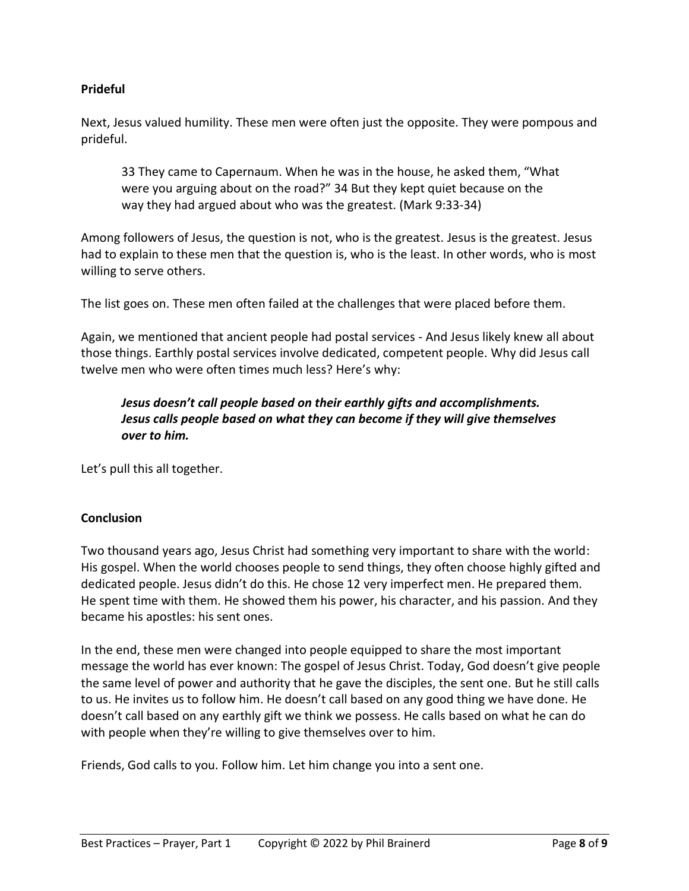### **Prideful**

Next, Jesus valued humility. These men were often just the opposite. They were pompous and prideful.

33 They came to Capernaum. When he was in the house, he asked them, "What were you arguing about on the road?" 34 But they kept quiet because on the way they had argued about who was the greatest. (Mark 9:33-34)

Among followers of Jesus, the question is not, who is the greatest. Jesus is the greatest. Jesus had to explain to these men that the question is, who is the least. In other words, who is most willing to serve others.

The list goes on. These men often failed at the challenges that were placed before them.

Again, we mentioned that ancient people had postal services - And Jesus likely knew all about those things. Earthly postal services involve dedicated, competent people. Why did Jesus call twelve men who were often times much less? Here's why:

## *Jesus doesn't call people based on their earthly gifts and accomplishments. Jesus calls people based on what they can become if they will give themselves over to him.*

Let's pull this all together.

### **Conclusion**

Two thousand years ago, Jesus Christ had something very important to share with the world: His gospel. When the world chooses people to send things, they often choose highly gifted and dedicated people. Jesus didn't do this. He chose 12 very imperfect men. He prepared them. He spent time with them. He showed them his power, his character, and his passion. And they became his apostles: his sent ones.

In the end, these men were changed into people equipped to share the most important message the world has ever known: The gospel of Jesus Christ. Today, God doesn't give people the same level of power and authority that he gave the disciples, the sent one. But he still calls to us. He invites us to follow him. He doesn't call based on any good thing we have done. He doesn't call based on any earthly gift we think we possess. He calls based on what he can do with people when they're willing to give themselves over to him.

Friends, God calls to you. Follow him. Let him change you into a sent one.